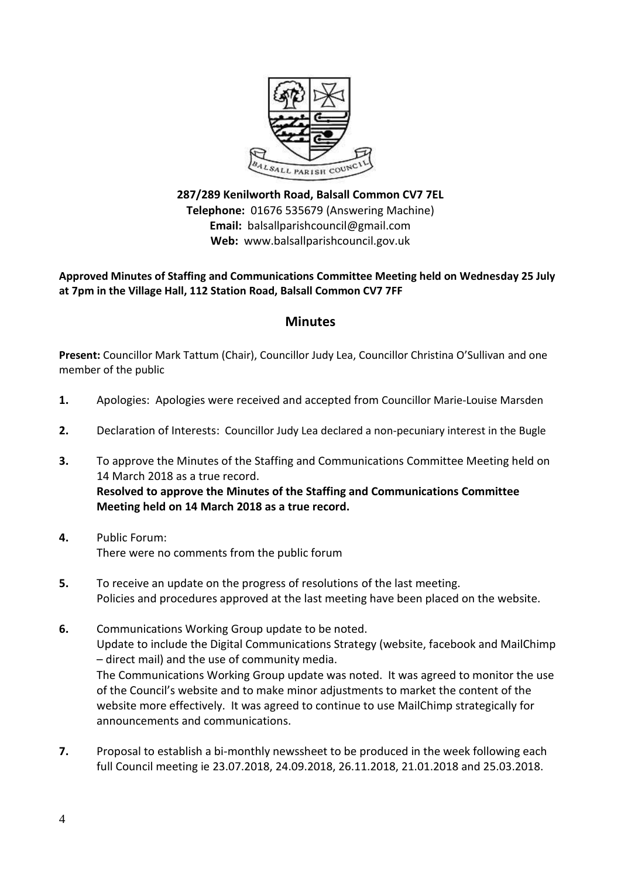

**287/289 Kenilworth Road, Balsall Common CV7 7EL Telephone:** 01676 535679 (Answering Machine) **Email:** balsallparishcouncil@gmail.com **Web:** www.balsallparishcouncil.gov.uk

**Approved Minutes of Staffing and Communications Committee Meeting held on Wednesday 25 July at 7pm in the Village Hall, 112 Station Road, Balsall Common CV7 7FF**

## **Minutes**

**Present:** Councillor Mark Tattum (Chair), Councillor Judy Lea, Councillor Christina O'Sullivan and one member of the public

- **1.** Apologies: Apologies were received and accepted from Councillor Marie-Louise Marsden
- **2.** Declaration of Interests: Councillor Judy Lea declared a non-pecuniary interest in the Bugle
- **3.** To approve the Minutes of the Staffing and Communications Committee Meeting held on 14 March 2018 as a true record. **Resolved to approve the Minutes of the Staffing and Communications Committee Meeting held on 14 March 2018 as a true record.**
- **4.** Public Forum: There were no comments from the public forum
- **5.** To receive an update on the progress of resolutions of the last meeting. Policies and procedures approved at the last meeting have been placed on the website.
- **6.** Communications Working Group update to be noted. Update to include the Digital Communications Strategy (website, facebook and MailChimp – direct mail) and the use of community media. The Communications Working Group update was noted. It was agreed to monitor the use of the Council's website and to make minor adjustments to market the content of the website more effectively. It was agreed to continue to use MailChimp strategically for announcements and communications.
- **7.** Proposal to establish a bi-monthly newssheet to be produced in the week following each full Council meeting ie 23.07.2018, 24.09.2018, 26.11.2018, 21.01.2018 and 25.03.2018.